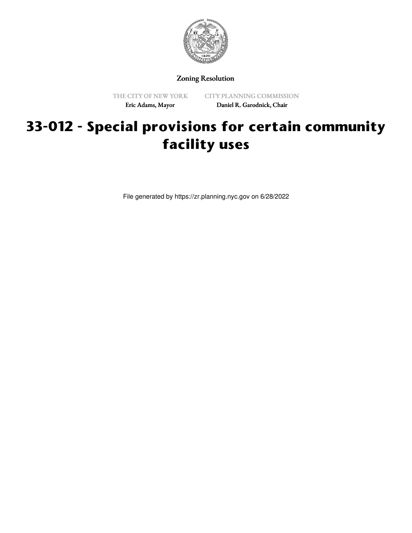

Zoning Resolution

THE CITY OF NEW YORK Eric Adams, Mayor

CITY PLANNING COMMISSION Daniel R. Garodnick, Chair

## **33-012 - Special provisions for certain community facility uses**

File generated by https://zr.planning.nyc.gov on 6/28/2022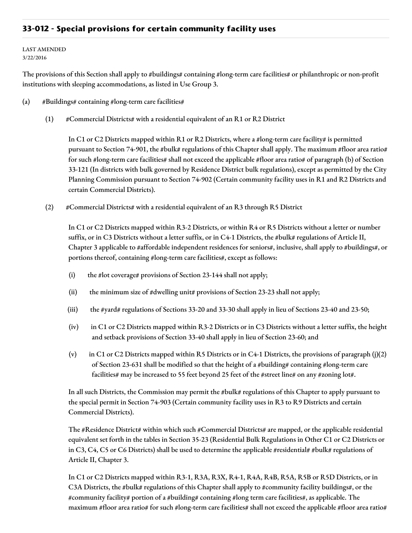## **33-012 - Special provisions for certain community facility uses**

## LAST AMENDED 3/22/2016

The provisions of this Section shall apply to #buildings# containing #long-term care facilities# or philanthropic or non-profit institutions with sleeping accommodations, as listed in Use Group 3.

- (a) #Buildings# containing #long-term care facilities#
	- (1)  $\#$ Commercial Districts# with a residential equivalent of an R1 or R2 District

In C1 or C2 Districts mapped within R1 or R2 Districts, where a #long-term care facility# is permitted pursuant to Section 74-901, the #bulk# regulations of this Chapter shall apply. The maximum #floor area ratio# for such #long-term care facilities# shall not exceed the applicable #floor area ratio# of paragraph (b) of Section 33-121 (In districts with bulk governed by Residence District bulk regulations), except as permitted by the City Planning Commission pursuant to Section 74-902 (Certain community facility uses in R1 and R2 Districts and certain Commercial Districts).

(2) #Commercial Districts# with a residential equivalent of an R3 through R5 District

In C1 or C2 Districts mapped within R3-2 Districts, or within R4 or R5 Districts without a letter or number suffix, or in C3 Districts without a letter suffix, or in C4-1 Districts, the #bulk# regulations of Article II, Chapter 3 applicable to #affordable independent residences for seniors#, inclusive, shall apply to #buildings#, or portions thereof, containing #long-term care facilities#, except as follows:

- (i) the #lot coverage# provisions of Section 23-144 shall not apply;
- (ii) the minimum size of #dwelling unit# provisions of Section 23-23 shall not apply;
- (iii) the #yard# regulations of Sections 33-20 and 33-30 shall apply in lieu of Sections 23-40 and 23-50;
- (iv) in C1 or C2 Districts mapped within R3-2 Districts or in C3 Districts without a letter suffix, the height and setback provisions of Section 33-40 shall apply in lieu of Section 23-60; and
- (v) in C1 or C2 Districts mapped within R5 Districts or in C4-1 Districts, the provisions of paragraph (j)(2) of Section 23-631 shall be modified so that the height of a #building# containing #long-term care facilities# may be increased to 55 feet beyond 25 feet of the #street line# on any #zoning lot#.

In all such Districts, the Commission may permit the #bulk# regulations of this Chapter to apply pursuant to the special permit in Section 74-903 (Certain community facility uses in R3 to R9 Districts and certain Commercial Districts).

The #Residence District# within which such #Commercial Districts# are mapped, or the applicable residential equivalent set forth in the tables in Section 35-23 (Residential Bulk Regulations in Other C1 or C2 Districts or in C3, C4, C5 or C6 Districts) shall be used to determine the applicable #residential# #bulk# regulations of Article II, Chapter 3.

In C1 or C2 Districts mapped within R3-1, R3A, R3X, R4-1, R4A, R4B, R5A, R5B or R5D Districts, or in C3A Districts, the #bulk# regulations of this Chapter shall apply to #community facility buildings#, or the #community facility# portion of a #building# containing #long term care facilities#, as applicable. The maximum #floor area ratio# for such #long-term care facilities# shall not exceed the applicable #floor area ratio#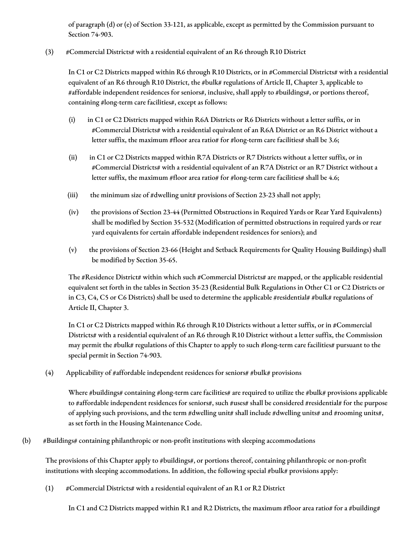of paragraph (d) or (e) of Section 33-121, as applicable, except as permitted by the Commission pursuant to Section 74-903.

(3) #Commercial Districts# with a residential equivalent of an R6 through R10 District

In C1 or C2 Districts mapped within R6 through R10 Districts, or in #Commercial Districts# with a residential equivalent of an R6 through R10 District, the #bulk# regulations of Article II, Chapter 3, applicable to #affordable independent residences for seniors#, inclusive, shall apply to #buildings#, or portions thereof, containing #long-term care facilities#, except as follows:

- (i) in C1 or C2 Districts mapped within R6A Districts or R6 Districts without a letter suffix, or in #Commercial Districts# with a residential equivalent of an R6A District or an R6 District without a letter suffix, the maximum #floor area ratio# for #long-term care facilities# shall be 3.6;
- (ii) in C1 or C2 Districts mapped within R7A Districts or R7 Districts without a letter suffix, or in #Commercial Districts# with a residential equivalent of an R7A District or an R7 District without a letter suffix, the maximum #floor area ratio# for #long-term care facilities# shall be 4.6;
- (iii) the minimum size of #dwelling unit# provisions of Section 23-23 shall not apply;
- (iv) the provisions of Section 23-44 (Permitted Obstructions in Required Yards or Rear Yard Equivalents) shall be modified by Section 35-532 (Modification of permitted obstructions in required yards or rear yard equivalents for certain affordable independent residences for seniors); and
- (v) the provisions of Section 23-66 (Height and Setback Requirements for Quality Housing Buildings) shall be modified by Section 35-65.

The #Residence District# within which such #Commercial Districts# are mapped, or the applicable residential equivalent set forth in the tables in Section 35-23 (Residential Bulk Regulations in Other C1 or C2 Districts or in C3, C4, C5 or C6 Districts) shall be used to determine the applicable #residential# #bulk# regulations of Article II, Chapter 3.

In C1 or C2 Districts mapped within R6 through R10 Districts without a letter suffix, or in #Commercial Districts# with a residential equivalent of an R6 through R10 District without a letter suffix, the Commission may permit the #bulk# regulations of this Chapter to apply to such #long-term care facilities# pursuant to the special permit in Section 74-903.

(4) Applicability of #affordable independent residences for seniors# #bulk# provisions

Where #buildings# containing #long-term care facilities# are required to utilize the #bulk# provisions applicable to #affordable independent residences for seniors#, such #uses# shall be considered #residential# for the purpose of applying such provisions, and the term #dwelling unit# shall include #dwelling units# and #rooming units#, as set forth in the Housing Maintenance Code.

(b) #Buildings# containing philanthropic or non-profit institutions with sleeping accommodations

The provisions of this Chapter apply to #buildings#, or portions thereof, containing philanthropic or non-profit institutions with sleeping accommodations. In addition, the following special #bulk# provisions apply:

(1) #Commercial Districts# with a residential equivalent of an R1 or R2 District

In C1 and C2 Districts mapped within R1 and R2 Districts, the maximum #floor area ratio# for a #building#